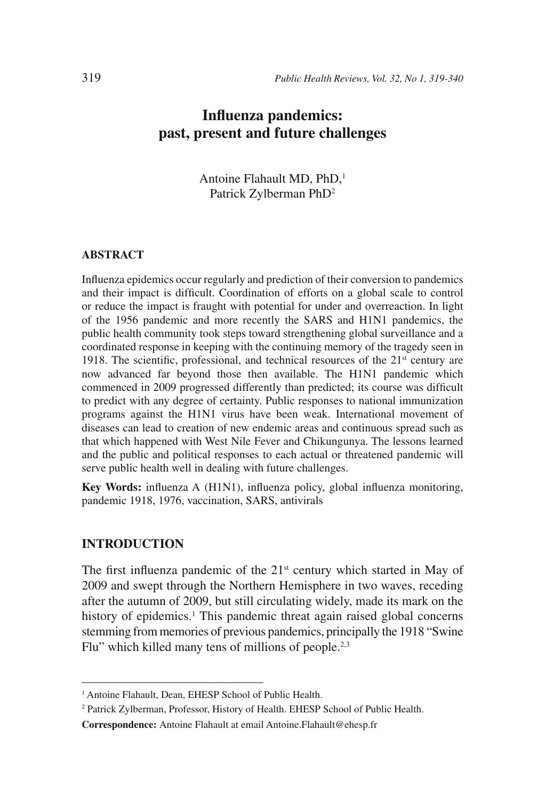# **Influenza pandemics: past, present and future challenges**

Antoine Flahault MD, PhD,1 Patrick Zylberman PhD2

#### **ABSTRACT**

Influenza epidemics occur regularly and prediction of their conversion to pandemics and their impact is difficult. Coordination of efforts on a global scale to control or reduce the impact is fraught with potential for under and overreaction. In light of the 1956 pandemic and more recently the SARS and H1N1 pandemics, the public health community took steps toward strengthening global surveillance and a coordinated response in keeping with the continuing memory of the tragedy seen in 1918. The scientific, professional, and technical resources of the  $21<sup>st</sup>$  century are now advanced far beyond those then available. The H1N1 pandemic which commenced in 2009 progressed differently than predicted; its course was difficult to predict with any degree of certainty. Public responses to national immunization programs against the H1N1 virus have been weak. International movement of diseases can lead to creation of new endemic areas and continuous spread such as that which happened with West Nile Fever and Chikungunya. The lessons learned and the public and political responses to each actual or threatened pandemic will serve public health well in dealing with future challenges.

**Key Words:** influenza A (H1N1), influenza policy, global influenza monitoring, pandemic 1918, 1976, vaccination, SARS, antivirals

## **INTRODUCTION**

The first influenza pandemic of the  $21<sup>st</sup>$  century which started in May of 2009 and swept through the Northern Hemisphere in two waves, receding after the autumn of 2009, but still circulating widely, made its mark on the history of epidemics.<sup>1</sup> This pandemic threat again raised global concerns stemming from memories of previous pandemics, principally the 1918 "Swine Flu" which killed many tens of millions of people. $2,3$ 

<sup>&</sup>lt;sup>1</sup> Antoine Flahault, Dean, EHESP School of Public Health.

<sup>2</sup> Patrick Zylberman, Professor, History of Health. EHESP School of Public Health.

**Correspondence:** Antoine Flahault at email Antoine.Flahault@ehesp.fr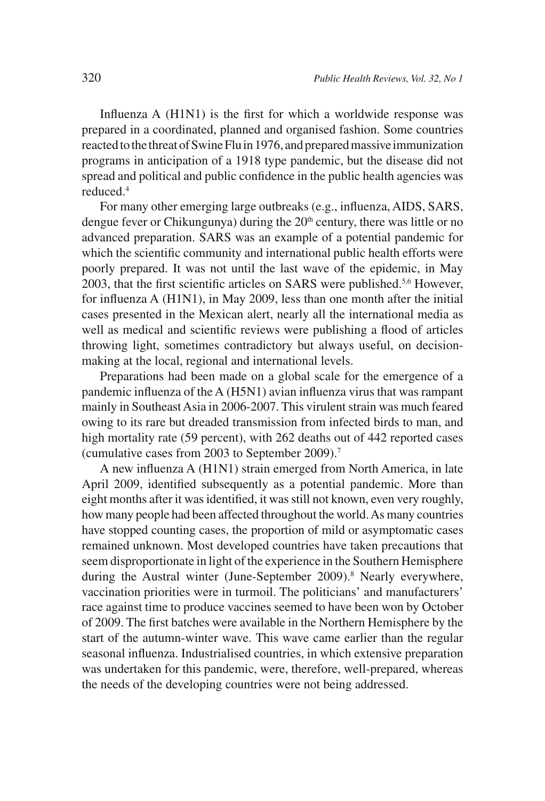Influenza A  $(H1N1)$  is the first for which a worldwide response was prepared in a coordinated, planned and organised fashion. Some countries reacted to the threat of Swine Flu in 1976, and prepared massive immunization programs in anticipation of a 1918 type pandemic, but the disease did not spread and political and public confidence in the public health agencies was reduced.4

For many other emerging large outbreaks (e.g., influenza, AIDS, SARS, dengue fever or Chikungunya) during the 20<sup>th</sup> century, there was little or no advanced preparation. SARS was an example of a potential pandemic for which the scientific community and international public health efforts were poorly prepared. It was not until the last wave of the epidemic, in May 2003, that the first scientific articles on SARS were published.<sup>5,6</sup> However, for influenza A  $(H1N1)$ , in May 2009, less than one month after the initial cases presented in the Mexican alert, nearly all the international media as well as medical and scientific reviews were publishing a flood of articles throwing light, sometimes contradictory but always useful, on decisionmaking at the local, regional and international levels.

Preparations had been made on a global scale for the emergence of a pandemic influenza of the  $A(H5N1)$  avian influenza virus that was rampant mainly in Southeast Asia in 2006-2007. This virulent strain was much feared owing to its rare but dreaded transmission from infected birds to man, and high mortality rate (59 percent), with 262 deaths out of 442 reported cases (cumulative cases from 2003 to September 2009).7

A new influenza A (H1N1) strain emerged from North America, in late April 2009, identified subsequently as a potential pandemic. More than eight months after it was identified, it was still not known, even very roughly, how many people had been affected throughout the world. As many countries have stopped counting cases, the proportion of mild or asymptomatic cases remained unknown. Most developed countries have taken precautions that seem disproportionate in light of the experience in the Southern Hemisphere during the Austral winter (June-September 2009).<sup>8</sup> Nearly everywhere, vaccination priorities were in turmoil. The politicians' and manufacturers' race against time to produce vaccines seemed to have been won by October of 2009. The first batches were available in the Northern Hemisphere by the start of the autumn-winter wave. This wave came earlier than the regular seasonal influenza. Industrialised countries, in which extensive preparation was undertaken for this pandemic, were, therefore, well-prepared, whereas the needs of the developing countries were not being addressed.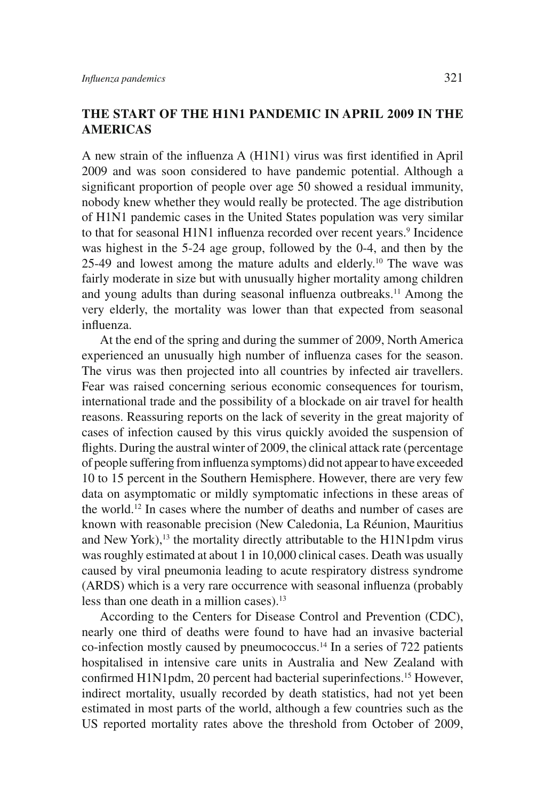# **THE START OF THE H1N1 PANDEMIC IN APRIL 2009 IN THE AMERICAS**

A new strain of the influenza A  $(H1N1)$  virus was first identified in April 2009 and was soon considered to have pandemic potential. Although a significant proportion of people over age 50 showed a residual immunity, nobody knew whether they would really be protected. The age distribution of H1N1 pandemic cases in the United States population was very similar to that for seasonal H1N1 influenza recorded over recent years.<sup>9</sup> Incidence was highest in the 5-24 age group, followed by the 0-4, and then by the  $25-49$  and lowest among the mature adults and elderly.<sup>10</sup> The wave was fairly moderate in size but with unusually higher mortality among children and young adults than during seasonal influenza outbreaks.<sup>11</sup> Among the very elderly, the mortality was lower than that expected from seasonal influenza.

At the end of the spring and during the summer of 2009, North America experienced an unusually high number of influenza cases for the season. The virus was then projected into all countries by infected air travellers. Fear was raised concerning serious economic consequences for tourism, international trade and the possibility of a blockade on air travel for health reasons. Reassuring reports on the lack of severity in the great majority of cases of infection caused by this virus quickly avoided the suspension of flights. During the austral winter of 2009, the clinical attack rate (percentage) of people suffering from influenza symptoms) did not appear to have exceeded 10 to 15 percent in the Southern Hemisphere. However, there are very few data on asymptomatic or mildly symptomatic infections in these areas of the world.12 In cases where the number of deaths and number of cases are known with reasonable precision (New Caledonia, La Réunion, Mauritius and New York),<sup>13</sup> the mortality directly attributable to the H1N1pdm virus was roughly estimated at about 1 in 10,000 clinical cases. Death was usually caused by viral pneumonia leading to acute respiratory distress syndrome (ARDS) which is a very rare occurrence with seasonal influenza (probably less than one death in a million cases).<sup>13</sup>

According to the Centers for Disease Control and Prevention (CDC), nearly one third of deaths were found to have had an invasive bacterial co-infection mostly caused by pneumococcus.14 In a series of 722 patients hospitalised in intensive care units in Australia and New Zealand with confirmed H1N1pdm, 20 percent had bacterial superinfections.<sup>15</sup> However, indirect mortality, usually recorded by death statistics, had not yet been estimated in most parts of the world, although a few countries such as the US reported mortality rates above the threshold from October of 2009,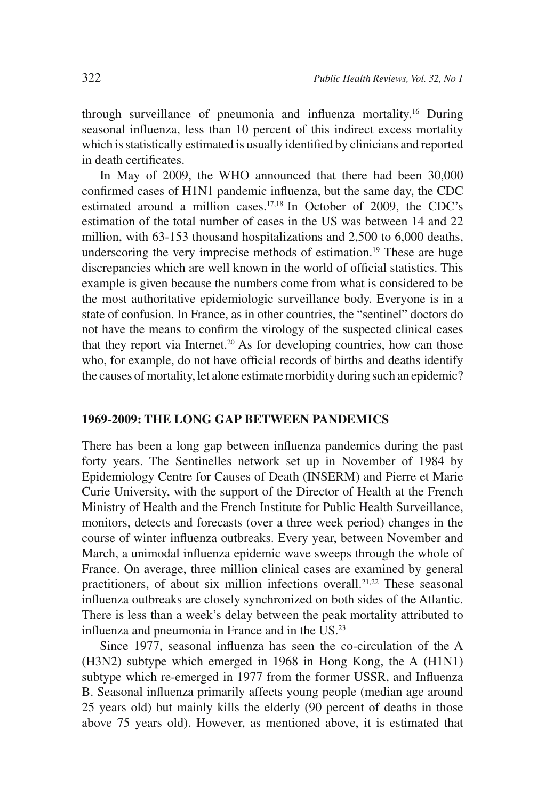through surveillance of pneumonia and influenza mortality.<sup>16</sup> During seasonal influenza, less than 10 percent of this indirect excess mortality which is statistically estimated is usually identified by clinicians and reported in death certificates.

In May of 2009, the WHO announced that there had been 30,000 confirmed cases of H1N1 pandemic influenza, but the same day, the CDC estimated around a million cases.<sup>17,18</sup> In October of 2009, the CDC's estimation of the total number of cases in the US was between 14 and 22 million, with 63-153 thousand hospitalizations and 2,500 to 6,000 deaths, underscoring the very imprecise methods of estimation.<sup>19</sup> These are huge discrepancies which are well known in the world of official statistics. This example is given because the numbers come from what is considered to be the most authoritative epidemiologic surveillance body. Everyone is in a state of confusion. In France, as in other countries, the "sentinel" doctors do not have the means to confirm the virology of the suspected clinical cases that they report via Internet.<sup>20</sup> As for developing countries, how can those who, for example, do not have official records of births and deaths identify the causes of mortality, let alone estimate morbidity during such an epidemic?

### **1969-2009: THE LONG GAP BETWEEN PANDEMICS**

There has been a long gap between influenza pandemics during the past forty years. The Sentinelles network set up in November of 1984 by Epidemiology Centre for Causes of Death (INSERM) and Pierre et Marie Curie University, with the support of the Director of Health at the French Ministry of Health and the French Institute for Public Health Surveillance, monitors, detects and forecasts (over a three week period) changes in the course of winter influenza outbreaks. Every year, between November and March, a unimodal influenza epidemic wave sweeps through the whole of France. On average, three million clinical cases are examined by general practitioners, of about six million infections overall.21,22 These seasonal influenza outbreaks are closely synchronized on both sides of the Atlantic. There is less than a week's delay between the peak mortality attributed to influenza and pneumonia in France and in the US.<sup>23</sup>

Since 1977, seasonal influenza has seen the co-circulation of the A (H3N2) subtype which emerged in 1968 in Hong Kong, the A (H1N1) subtype which re-emerged in 1977 from the former USSR, and Influenza B. Seasonal influenza primarily affects young people (median age around 25 years old) but mainly kills the elderly (90 percent of deaths in those above 75 years old). However, as mentioned above, it is estimated that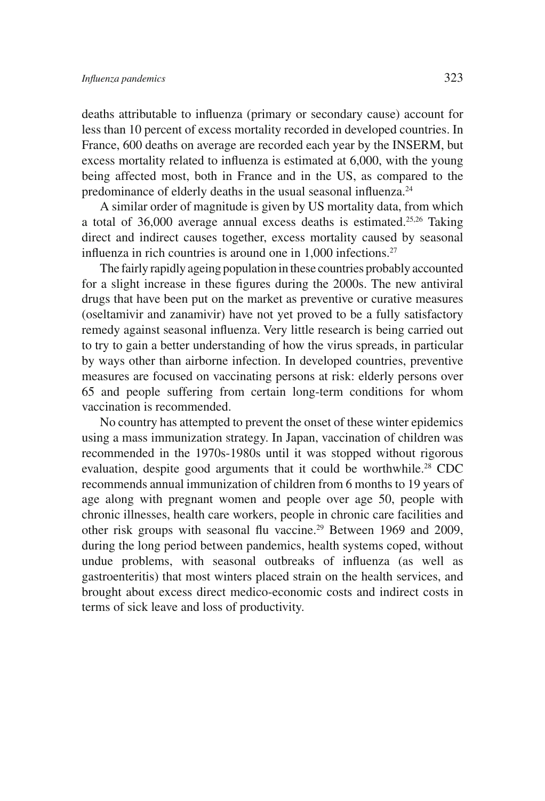deaths attributable to influenza (primary or secondary cause) account for less than 10 percent of excess mortality recorded in developed countries. In France, 600 deaths on average are recorded each year by the INSERM, but excess mortality related to influenza is estimated at 6,000, with the young being affected most, both in France and in the US, as compared to the predominance of elderly deaths in the usual seasonal influenza.<sup>24</sup>

A similar order of magnitude is given by US mortality data, from which a total of 36,000 average annual excess deaths is estimated.25,26 Taking direct and indirect causes together, excess mortality caused by seasonal influenza in rich countries is around one in  $1,000$  infections.<sup>27</sup>

The fairly rapidly ageing population in these countries probably accounted for a slight increase in these figures during the 2000s. The new antiviral drugs that have been put on the market as preventive or curative measures (oseltamivir and zanamivir) have not yet proved to be a fully satisfactory remedy against seasonal influenza. Very little research is being carried out to try to gain a better understanding of how the virus spreads, in particular by ways other than airborne infection. In developed countries, preventive measures are focused on vaccinating persons at risk: elderly persons over 65 and people suffering from certain long-term conditions for whom vaccination is recommended.

No country has attempted to prevent the onset of these winter epidemics using a mass immunization strategy. In Japan, vaccination of children was recommended in the 1970s-1980s until it was stopped without rigorous evaluation, despite good arguments that it could be worthwhile.<sup>28</sup> CDC recommends annual immunization of children from 6 months to 19 years of age along with pregnant women and people over age 50, people with chronic illnesses, health care workers, people in chronic care facilities and other risk groups with seasonal flu vaccine.<sup>29</sup> Between 1969 and 2009, during the long period between pandemics, health systems coped, without undue problems, with seasonal outbreaks of influenza (as well as gastroenteritis) that most winters placed strain on the health services, and brought about excess direct medico-economic costs and indirect costs in terms of sick leave and loss of productivity.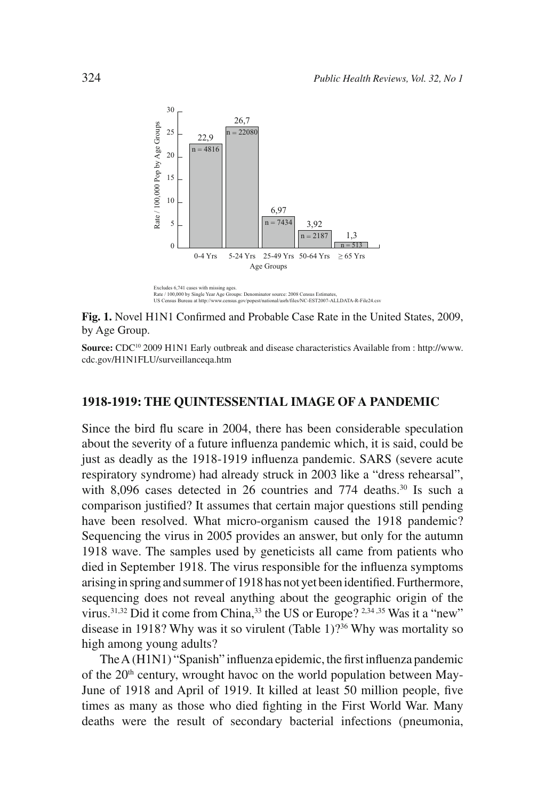

Rate / 100,000 by Single Year Age Groups: Denominator source: 2008 Census Estimates, US Census Bureau at http://www.census.gov/popest/national/asrh/files/NC-EST2007-ALLDATA-R-File24.csv

**Fig. 1.** Novel H1N1 Confirmed and Probable Case Rate in the United States, 2009, by Age Group.

Source: CDC<sup>10</sup> 2009 H1N1 Early outbreak and disease characteristics Available from : http://www. cdc.gov/H1N1FLU/surveillanceqa.htm

## **1918-1919: THE QUINTESSENTIAL IMAGE OF A PANDEMIC**

Since the bird flu scare in 2004, there has been considerable speculation about the severity of a future influenza pandemic which, it is said, could be just as deadly as the 1918-1919 influenza pandemic. SARS (severe acute respiratory syndrome) had already struck in 2003 like a "dress rehearsal", with 8,096 cases detected in 26 countries and 774 deaths.<sup>30</sup> Is such a comparison justified? It assumes that certain major questions still pending have been resolved. What micro-organism caused the 1918 pandemic? Sequencing the virus in 2005 provides an answer, but only for the autumn 1918 wave. The samples used by geneticists all came from patients who died in September 1918. The virus responsible for the influenza symptoms arising in spring and summer of 1918 has not yet been identified. Furthermore, sequencing does not reveal anything about the geographic origin of the virus.<sup>31,32</sup> Did it come from China,<sup>33</sup> the US or Europe?<sup>2,34,35</sup> Was it a "new" disease in 1918? Why was it so virulent (Table 1)?<sup>36</sup> Why was mortality so high among young adults?

The  $A(H1N1)$  "Spanish" influenza epidemic, the first influenza pandemic of the  $20<sup>th</sup>$  century, wrought havoc on the world population between May-June of 1918 and April of 1919. It killed at least 50 million people, five times as many as those who died fighting in the First World War. Many deaths were the result of secondary bacterial infections (pneumonia,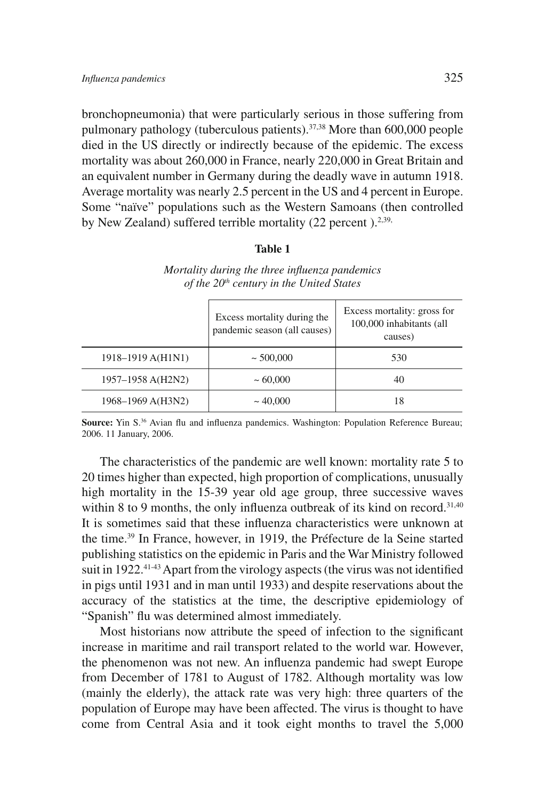bronchopneumonia) that were particularly serious in those suffering from pulmonary pathology (tuberculous patients).37,38 More than 600,000 people died in the US directly or indirectly because of the epidemic. The excess mortality was about 260,000 in France, nearly 220,000 in Great Britain and an equivalent number in Germany during the deadly wave in autumn 1918. Average mortality was nearly 2.5 percent in the US and 4 percent in Europe. Some "naïve" populations such as the Western Samoans (then controlled by New Zealand) suffered terrible mortality  $(22 \text{ percent})^{2,39}$ ,

#### **Table 1**

|                   | Excess mortality during the<br>pandemic season (all causes) | Excess mortality: gross for<br>100,000 inhabitants (all<br>causes) |
|-------------------|-------------------------------------------------------------|--------------------------------------------------------------------|
| 1918-1919 A(H1N1) | $~1$ - 500,000                                              | 530                                                                |
| 1957–1958 A(H2N2) | $~1$ – 60,000                                               | 40                                                                 |
| 1968-1969 A(H3N2) | $\sim 40,000$                                               | 18                                                                 |

*Mortality during the three influenza pandemics of the 20th century in the United States*

**Source:** Yin S.<sup>36</sup> Avian flu and influenza pandemics. Washington: Population Reference Bureau; 2006. 11 January, 2006.

The characteristics of the pandemic are well known: mortality rate 5 to 20 times higher than expected, high proportion of complications, unusually high mortality in the 15-39 year old age group, three successive waves within 8 to 9 months, the only influenza outbreak of its kind on record.<sup>31,40</sup> It is sometimes said that these influenza characteristics were unknown at the time.39 In France, however, in 1919, the Préfecture de la Seine started publishing statistics on the epidemic in Paris and the War Ministry followed suit in  $1922^{41-43}$  Apart from the virology aspects (the virus was not identified in pigs until 1931 and in man until 1933) and despite reservations about the accuracy of the statistics at the time, the descriptive epidemiology of "Spanish" flu was determined almost immediately.

Most historians now attribute the speed of infection to the significant increase in maritime and rail transport related to the world war. However, the phenomenon was not new. An influenza pandemic had swept Europe from December of 1781 to August of 1782. Although mortality was low (mainly the elderly), the attack rate was very high: three quarters of the population of Europe may have been affected. The virus is thought to have come from Central Asia and it took eight months to travel the 5,000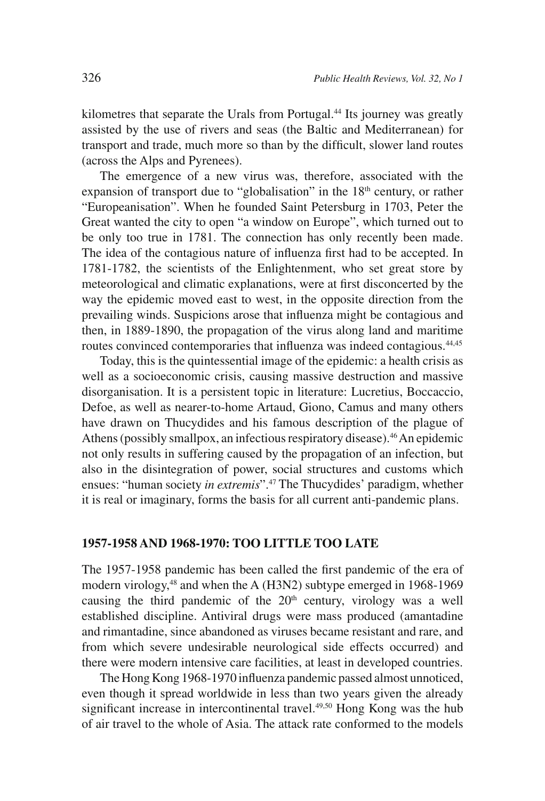kilometres that separate the Urals from Portugal.<sup>44</sup> Its journey was greatly assisted by the use of rivers and seas (the Baltic and Mediterranean) for transport and trade, much more so than by the difficult, slower land routes (across the Alps and Pyrenees).

The emergence of a new virus was, therefore, associated with the expansion of transport due to "globalisation" in the  $18<sup>th</sup>$  century, or rather "Europeanisation". When he founded Saint Petersburg in 1703, Peter the Great wanted the city to open "a window on Europe", which turned out to be only too true in 1781. The connection has only recently been made. The idea of the contagious nature of influenza first had to be accepted. In 1781-1782, the scientists of the Enlightenment, who set great store by meteorological and climatic explanations, were at first disconcerted by the way the epidemic moved east to west, in the opposite direction from the prevailing winds. Suspicions arose that influenza might be contagious and then, in 1889-1890, the propagation of the virus along land and maritime routes convinced contemporaries that influenza was indeed contagious.<sup>44,45</sup>

Today, this is the quintessential image of the epidemic: a health crisis as well as a socioeconomic crisis, causing massive destruction and massive disorganisation. It is a persistent topic in literature: Lucretius, Boccaccio, Defoe, as well as nearer-to-home Artaud, Giono, Camus and many others have drawn on Thucydides and his famous description of the plague of Athens (possibly smallpox, an infectious respiratory disease).<sup>46</sup> An epidemic not only results in suffering caused by the propagation of an infection, but also in the disintegration of power, social structures and customs which ensues: "human society *in extremis*".47 The Thucydides' paradigm, whether it is real or imaginary, forms the basis for all current anti-pandemic plans.

## **1957-1958 AND 1968-1970: TOO LITTLE TOO LATE**

The 1957-1958 pandemic has been called the first pandemic of the era of modern virology, $48$  and when the A (H3N2) subtype emerged in 1968-1969 causing the third pandemic of the  $20<sup>th</sup>$  century, virology was a well established discipline. Antiviral drugs were mass produced (amantadine and rimantadine, since abandoned as viruses became resistant and rare, and from which severe undesirable neurological side effects occurred) and there were modern intensive care facilities, at least in developed countries.

The Hong Kong 1968-1970 influenza pandemic passed almost unnoticed, even though it spread worldwide in less than two years given the already significant increase in intercontinental travel. $49,50$  Hong Kong was the hub of air travel to the whole of Asia. The attack rate conformed to the models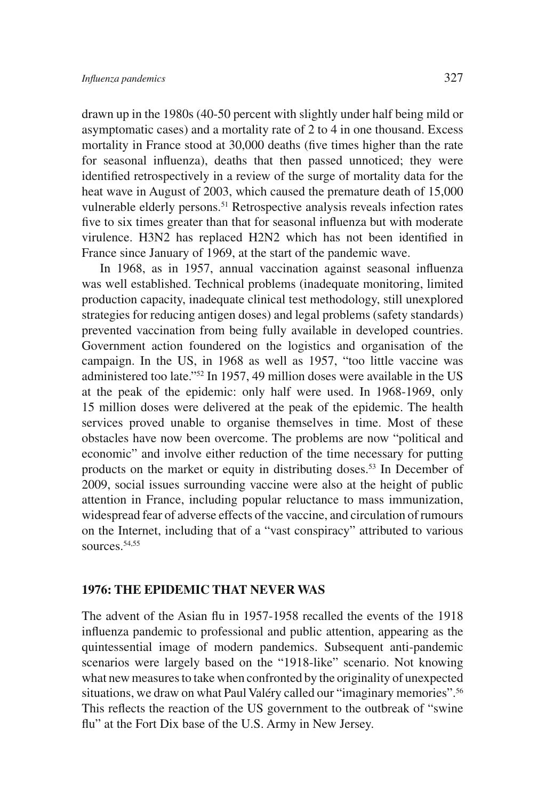drawn up in the 1980s (40-50 percent with slightly under half being mild or asymptomatic cases) and a mortality rate of 2 to 4 in one thousand. Excess mortality in France stood at 30,000 deaths (five times higher than the rate for seasonal influenza), deaths that then passed unnoticed; they were identified retrospectively in a review of the surge of mortality data for the heat wave in August of 2003, which caused the premature death of 15,000 vulnerable elderly persons.<sup>51</sup> Retrospective analysis reveals infection rates five to six times greater than that for seasonal influenza but with moderate virulence. H3N2 has replaced H2N2 which has not been identified in France since January of 1969, at the start of the pandemic wave.

In 1968, as in 1957, annual vaccination against seasonal influenza was well established. Technical problems (inadequate monitoring, limited production capacity, inadequate clinical test methodology, still unexplored strategies for reducing antigen doses) and legal problems (safety standards) prevented vaccination from being fully available in developed countries. Government action foundered on the logistics and organisation of the campaign. In the US, in 1968 as well as 1957, "too little vaccine was administered too late."52 In 1957, 49 million doses were available in the US at the peak of the epidemic: only half were used. In 1968-1969, only 15 million doses were delivered at the peak of the epidemic. The health services proved unable to organise themselves in time. Most of these obstacles have now been overcome. The problems are now "political and economic" and involve either reduction of the time necessary for putting products on the market or equity in distributing doses.<sup>53</sup> In December of 2009, social issues surrounding vaccine were also at the height of public attention in France, including popular reluctance to mass immunization, widespread fear of adverse effects of the vaccine, and circulation of rumours on the Internet, including that of a "vast conspiracy" attributed to various sources.54,55

## **1976: THE EPIDEMIC THAT NEVER WAS**

The advent of the Asian flu in 1957-1958 recalled the events of the 1918 influenza pandemic to professional and public attention, appearing as the quintessential image of modern pandemics. Subsequent anti-pandemic scenarios were largely based on the "1918-like" scenario. Not knowing what new measures to take when confronted by the originality of unexpected situations, we draw on what Paul Valéry called our "imaginary memories".<sup>56</sup> This reflects the reaction of the US government to the outbreak of "swine" flu" at the Fort Dix base of the U.S. Army in New Jersey.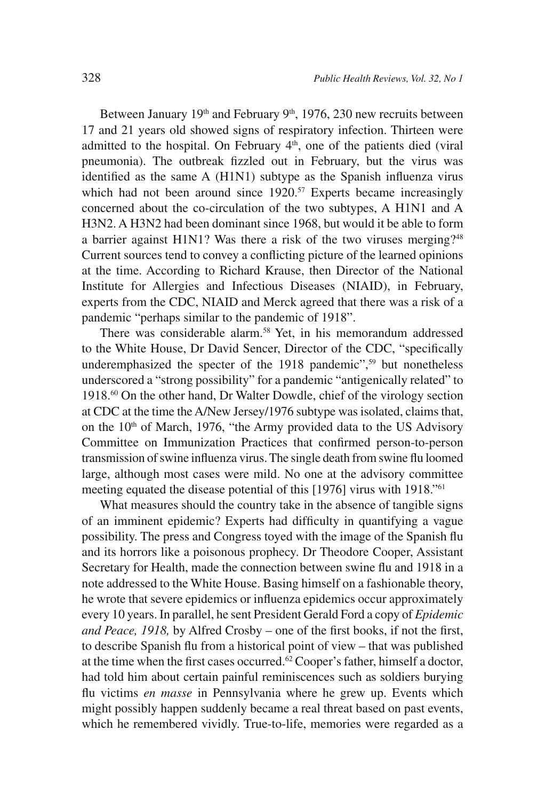Between January  $19<sup>th</sup>$  and February  $9<sup>th</sup>$ , 1976, 230 new recruits between 17 and 21 years old showed signs of respiratory infection. Thirteen were admitted to the hospital. On February  $4<sup>th</sup>$ , one of the patients died (viral pneumonia). The outbreak fizzled out in February, but the virus was identified as the same  $A$  (H1N1) subtype as the Spanish influenza virus which had not been around since 1920.<sup>57</sup> Experts became increasingly concerned about the co-circulation of the two subtypes, A H1N1 and A H3N2. A H3N2 had been dominant since 1968, but would it be able to form a barrier against H1N1? Was there a risk of the two viruses merging?<sup>48</sup> Current sources tend to convey a conflicting picture of the learned opinions at the time. According to Richard Krause, then Director of the National Institute for Allergies and Infectious Diseases (NIAID), in February, experts from the CDC, NIAID and Merck agreed that there was a risk of a pandemic "perhaps similar to the pandemic of 1918".

There was considerable alarm.<sup>58</sup> Yet, in his memorandum addressed to the White House, Dr David Sencer, Director of the CDC, "specifically underemphasized the specter of the  $1918$  pandemic",<sup>59</sup> but nonetheless underscored a "strong possibility" for a pandemic "antigenically related" to 1918.60 On the other hand, Dr Walter Dowdle, chief of the virology section at CDC at the time the A/New Jersey/1976 subtype was isolated, claims that, on the  $10<sup>th</sup>$  of March, 1976, "the Army provided data to the US Advisory Committee on Immunization Practices that confirmed person-to-person transmission of swine influenza virus. The single death from swine flu loomed large, although most cases were mild. No one at the advisory committee meeting equated the disease potential of this [1976] virus with 1918."61

What measures should the country take in the absence of tangible signs of an imminent epidemic? Experts had difficulty in quantifying a vague possibility. The press and Congress toyed with the image of the Spanish flu and its horrors like a poisonous prophecy. Dr Theodore Cooper, Assistant Secretary for Health, made the connection between swine flu and 1918 in a note addressed to the White House. Basing himself on a fashionable theory, he wrote that severe epidemics or influenza epidemics occur approximately every 10 years. In parallel, he sent President Gerald Ford a copy of *Epidemic and Peace, 1918, by Alfred Crosby – one of the first books, if not the first,* to describe Spanish flu from a historical point of view – that was published at the time when the first cases occurred.<sup>62</sup> Cooper's father, himself a doctor, had told him about certain painful reminiscences such as soldiers burying flu victims *en masse* in Pennsylvania where he grew up. Events which might possibly happen suddenly became a real threat based on past events, which he remembered vividly. True-to-life, memories were regarded as a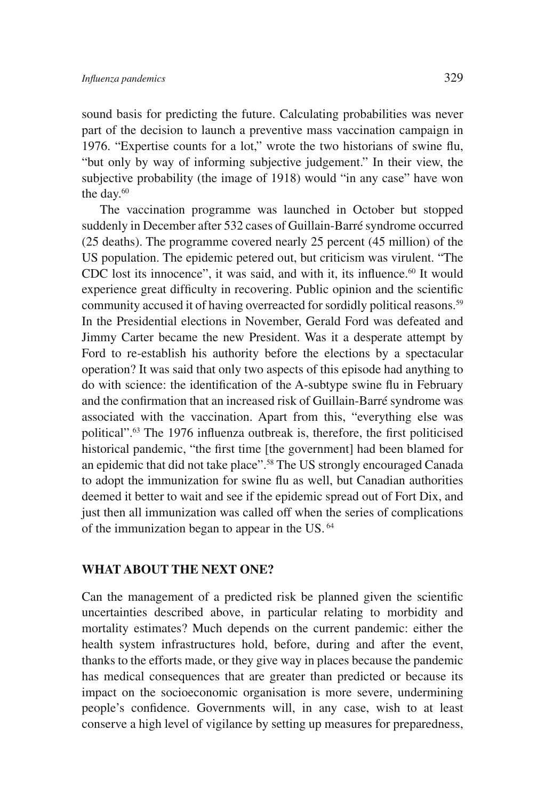sound basis for predicting the future. Calculating probabilities was never part of the decision to launch a preventive mass vaccination campaign in 1976. "Expertise counts for a lot," wrote the two historians of swine flu, "but only by way of informing subjective judgement." In their view, the subjective probability (the image of 1918) would "in any case" have won the day.<sup>60</sup>

The vaccination programme was launched in October but stopped suddenly in December after 532 cases of Guillain-Barré syndrome occurred (25 deaths). The programme covered nearly 25 percent (45 million) of the US population. The epidemic petered out, but criticism was virulent. "The CDC lost its innocence", it was said, and with it, its influence. $60$  It would experience great difficulty in recovering. Public opinion and the scientific community accused it of having overreacted for sordidly political reasons.<sup>59</sup> In the Presidential elections in November, Gerald Ford was defeated and Jimmy Carter became the new President. Was it a desperate attempt by Ford to re-establish his authority before the elections by a spectacular operation? It was said that only two aspects of this episode had anything to do with science: the identification of the A-subtype swine flu in February and the confirmation that an increased risk of Guillain-Barré syndrome was associated with the vaccination. Apart from this, "everything else was political".<sup>63</sup> The 1976 influenza outbreak is, therefore, the first politicised historical pandemic, "the first time [the government] had been blamed for an epidemic that did not take place".58 The US strongly encouraged Canada to adopt the immunization for swine flu as well, but Canadian authorities deemed it better to wait and see if the epidemic spread out of Fort Dix, and just then all immunization was called off when the series of complications of the immunization began to appear in the US. 64

### **WHAT ABOUT THE NEXT ONE?**

Can the management of a predicted risk be planned given the scientific uncertainties described above, in particular relating to morbidity and mortality estimates? Much depends on the current pandemic: either the health system infrastructures hold, before, during and after the event, thanks to the efforts made, or they give way in places because the pandemic has medical consequences that are greater than predicted or because its impact on the socioeconomic organisation is more severe, undermining people's confidence. Governments will, in any case, wish to at least conserve a high level of vigilance by setting up measures for preparedness,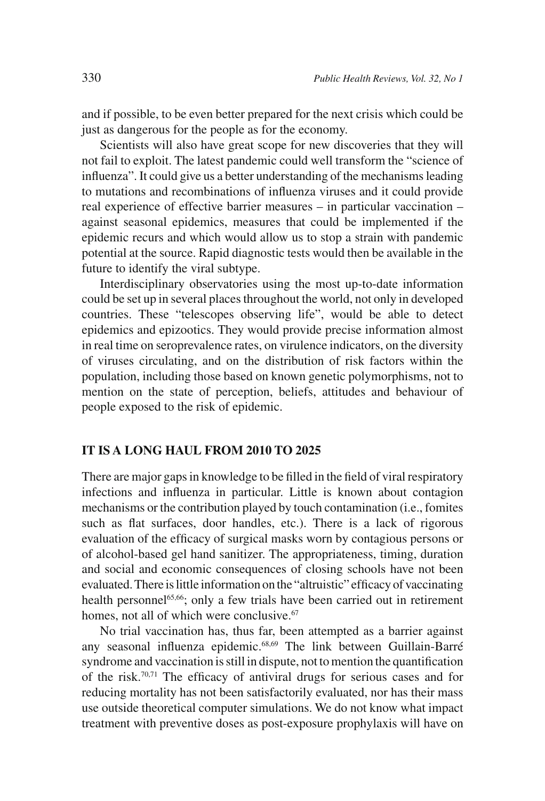and if possible, to be even better prepared for the next crisis which could be just as dangerous for the people as for the economy.

Scientists will also have great scope for new discoveries that they will not fail to exploit. The latest pandemic could well transform the "science of influenza". It could give us a better understanding of the mechanisms leading to mutations and recombinations of influenza viruses and it could provide real experience of effective barrier measures – in particular vaccination – against seasonal epidemics, measures that could be implemented if the epidemic recurs and which would allow us to stop a strain with pandemic potential at the source. Rapid diagnostic tests would then be available in the future to identify the viral subtype.

Interdisciplinary observatories using the most up-to-date information could be set up in several places throughout the world, not only in developed countries. These "telescopes observing life", would be able to detect epidemics and epizootics. They would provide precise information almost in real time on seroprevalence rates, on virulence indicators, on the diversity of viruses circulating, and on the distribution of risk factors within the population, including those based on known genetic polymorphisms, not to mention on the state of perception, beliefs, attitudes and behaviour of people exposed to the risk of epidemic.

## **IT IS A LONG HAUL FROM 2010 TO 2025**

There are major gaps in knowledge to be filled in the field of viral respiratory infections and influenza in particular. Little is known about contagion mechanisms or the contribution played by touch contamination (i.e., fomites such as flat surfaces, door handles, etc.). There is a lack of rigorous evaluation of the efficacy of surgical masks worn by contagious persons or of alcohol-based gel hand sanitizer. The appropriateness, timing, duration and social and economic consequences of closing schools have not been evaluated. There is little information on the "altruistic" efficacy of vaccinating health personnel<sup>65,66</sup>; only a few trials have been carried out in retirement homes, not all of which were conclusive.<sup>67</sup>

No trial vaccination has, thus far, been attempted as a barrier against any seasonal influenza epidemic.<sup>68,69</sup> The link between Guillain-Barré syndrome and vaccination is still in dispute, not to mention the quantification of the risk.<sup>70,71</sup> The efficacy of antiviral drugs for serious cases and for reducing mortality has not been satisfactorily evaluated, nor has their mass use outside theoretical computer simulations. We do not know what impact treatment with preventive doses as post-exposure prophylaxis will have on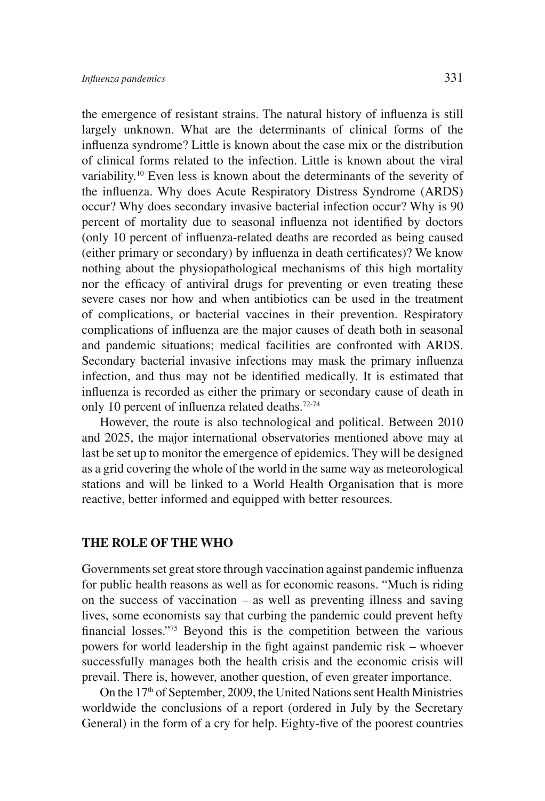the emergence of resistant strains. The natural history of influenza is still largely unknown. What are the determinants of clinical forms of the influenza syndrome? Little is known about the case mix or the distribution of clinical forms related to the infection. Little is known about the viral variability.10 Even less is known about the determinants of the severity of the influenza. Why does Acute Respiratory Distress Syndrome (ARDS) occur? Why does secondary invasive bacterial infection occur? Why is 90 percent of mortality due to seasonal influenza not identified by doctors (only 10 percent of influenza-related deaths are recorded as being caused (either primary or secondary) by influenza in death certificates)? We know nothing about the physiopathological mechanisms of this high mortality nor the efficacy of antiviral drugs for preventing or even treating these severe cases nor how and when antibiotics can be used in the treatment of complications, or bacterial vaccines in their prevention. Respiratory complications of influenza are the major causes of death both in seasonal and pandemic situations; medical facilities are confronted with ARDS. Secondary bacterial invasive infections may mask the primary influenza infection, and thus may not be identified medically. It is estimated that influenza is recorded as either the primary or secondary cause of death in only 10 percent of influenza related deaths. $72-74$ 

However, the route is also technological and political. Between 2010 and 2025, the major international observatories mentioned above may at last be set up to monitor the emergence of epidemics. They will be designed as a grid covering the whole of the world in the same way as meteorological stations and will be linked to a World Health Organisation that is more reactive, better informed and equipped with better resources.

#### **THE ROLE OF THE WHO**

Governments set great store through vaccination against pandemic influenza for public health reasons as well as for economic reasons. "Much is riding on the success of vaccination – as well as preventing illness and saving lives, some economists say that curbing the pandemic could prevent hefty financial losses."<sup>75</sup> Beyond this is the competition between the various powers for world leadership in the fight against pandemic risk – whoever successfully manages both the health crisis and the economic crisis will prevail. There is, however, another question, of even greater importance.

On the 17<sup>th</sup> of September, 2009, the United Nations sent Health Ministries worldwide the conclusions of a report (ordered in July by the Secretary General) in the form of a cry for help. Eighty-five of the poorest countries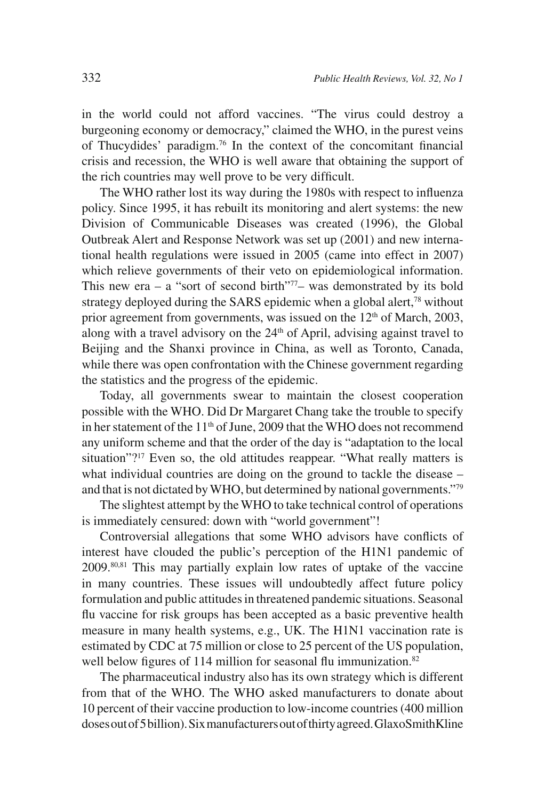in the world could not afford vaccines. "The virus could destroy a burgeoning economy or democracy," claimed the WHO, in the purest veins of Thucydides' paradigm.<sup>76</sup> In the context of the concomitant financial crisis and recession, the WHO is well aware that obtaining the support of the rich countries may well prove to be very difficult.

The WHO rather lost its way during the 1980s with respect to influenza policy. Since 1995, it has rebuilt its monitoring and alert systems: the new Division of Communicable Diseases was created (1996), the Global Outbreak Alert and Response Network was set up (2001) and new international health regulations were issued in 2005 (came into effect in 2007) which relieve governments of their veto on epidemiological information. This new era – a "sort of second birth"<sup>77</sup>– was demonstrated by its bold strategy deployed during the SARS epidemic when a global alert,<sup>78</sup> without prior agreement from governments, was issued on the  $12<sup>th</sup>$  of March, 2003, along with a travel advisory on the 24<sup>th</sup> of April, advising against travel to Beijing and the Shanxi province in China, as well as Toronto, Canada, while there was open confrontation with the Chinese government regarding the statistics and the progress of the epidemic.

Today, all governments swear to maintain the closest cooperation possible with the WHO. Did Dr Margaret Chang take the trouble to specify in her statement of the 11<sup>th</sup> of June, 2009 that the WHO does not recommend any uniform scheme and that the order of the day is "adaptation to the local situation"?<sup>17</sup> Even so, the old attitudes reappear. "What really matters is what individual countries are doing on the ground to tackle the disease – and that is not dictated by WHO, but determined by national governments."79

The slightest attempt by the WHO to take technical control of operations is immediately censured: down with "world government"!

Controversial allegations that some WHO advisors have conflicts of interest have clouded the public's perception of the H1N1 pandemic of 2009.80,81 This may partially explain low rates of uptake of the vaccine in many countries. These issues will undoubtedly affect future policy formulation and public attitudes in threatened pandemic situations. Seasonal flu vaccine for risk groups has been accepted as a basic preventive health measure in many health systems, e.g., UK. The H1N1 vaccination rate is estimated by CDC at 75 million or close to 25 percent of the US population, well below figures of 114 million for seasonal flu immunization.<sup>82</sup>

The pharmaceutical industry also has its own strategy which is different from that of the WHO. The WHO asked manufacturers to donate about 10 percent of their vaccine production to low-income countries (400 million doses out of 5 billion). Six manufacturers out of thirty agreed. GlaxoSmithKline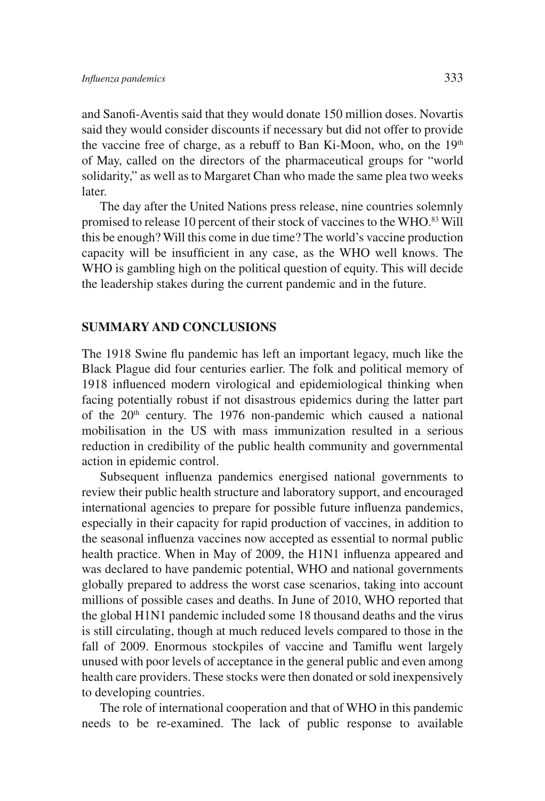and Sanofi -Aventis said that they would donate 150 million doses. Novartis said they would consider discounts if necessary but did not offer to provide the vaccine free of charge, as a rebuff to Ban Ki-Moon, who, on the 19<sup>th</sup> of May, called on the directors of the pharmaceutical groups for "world solidarity," as well as to Margaret Chan who made the same plea two weeks later.

The day after the United Nations press release, nine countries solemnly promised to release 10 percent of their stock of vaccines to the WHO.83 Will this be enough? Will this come in due time? The world's vaccine production capacity will be insufficient in any case, as the WHO well knows. The WHO is gambling high on the political question of equity. This will decide the leadership stakes during the current pandemic and in the future.

#### **SUMMARY AND CONCLUSIONS**

The 1918 Swine flu pandemic has left an important legacy, much like the Black Plague did four centuries earlier. The folk and political memory of 1918 influenced modern virological and epidemiological thinking when facing potentially robust if not disastrous epidemics during the latter part of the  $20<sup>th</sup>$  century. The 1976 non-pandemic which caused a national mobilisation in the US with mass immunization resulted in a serious reduction in credibility of the public health community and governmental action in epidemic control.

Subsequent influenza pandemics energised national governments to review their public health structure and laboratory support, and encouraged international agencies to prepare for possible future influenza pandemics, especially in their capacity for rapid production of vaccines, in addition to the seasonal influenza vaccines now accepted as essential to normal public health practice. When in May of 2009, the H1N1 influenza appeared and was declared to have pandemic potential, WHO and national governments globally prepared to address the worst case scenarios, taking into account millions of possible cases and deaths. In June of 2010, WHO reported that the global H1N1 pandemic included some 18 thousand deaths and the virus is still circulating, though at much reduced levels compared to those in the fall of 2009. Enormous stockpiles of vaccine and Tamiflu went largely unused with poor levels of acceptance in the general public and even among health care providers. These stocks were then donated or sold inexpensively to developing countries.

The role of international cooperation and that of WHO in this pandemic needs to be re-examined. The lack of public response to available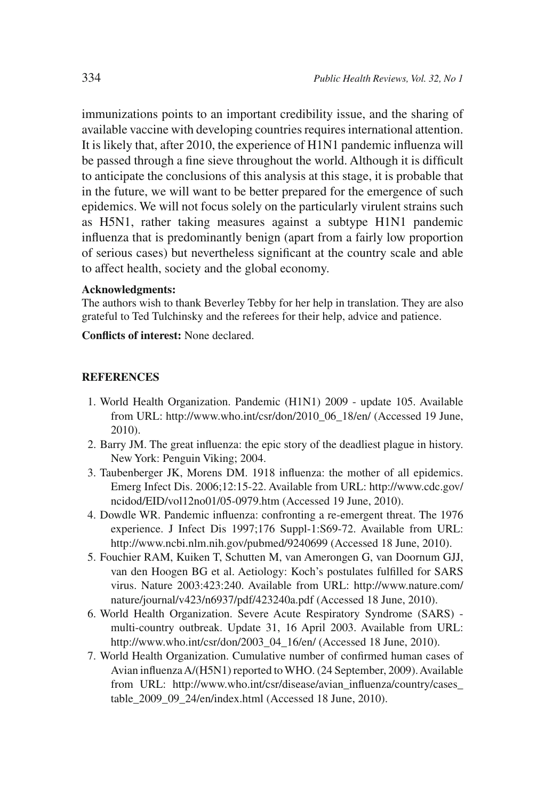immunizations points to an important credibility issue, and the sharing of available vaccine with developing countries requires international attention. It is likely that, after 2010, the experience of H1N1 pandemic influenza will be passed through a fine sieve throughout the world. Although it is difficult to anticipate the conclusions of this analysis at this stage, it is probable that in the future, we will want to be better prepared for the emergence of such epidemics. We will not focus solely on the particularly virulent strains such as H5N1, rather taking measures against a subtype H1N1 pandemic influenza that is predominantly benign (apart from a fairly low proportion of serious cases) but nevertheless significant at the country scale and able to affect health, society and the global economy.

# **Acknowledgments:**

The authors wish to thank Beverley Tebby for her help in translation. They are also grateful to Ted Tulchinsky and the referees for their help, advice and patience.

**Conflicts of interest:** None declared.

#### **REFERENCES**

- 1. World Health Organization. Pandemic (H1N1) 2009 update 105. Available from URL: http://www.who.int/csr/don/2010\_06\_18/en/ (Accessed 19 June, 2010).
- 2. Barry JM. The great influenza: the epic story of the deadliest plague in history. New York: Penguin Viking; 2004.
- 3. Taubenberger JK, Morens DM. 1918 influenza: the mother of all epidemics. Emerg Infect Dis. 2006;12:15-22. Available from URL: http://www.cdc.gov/ ncidod/EID/vol12no01/05-0979.htm (Accessed 19 June, 2010).
- 4. Dowdle WR. Pandemic influenza: confronting a re-emergent threat. The 1976 experience. J Infect Dis 1997;176 Suppl-1:S69-72. Available from URL: http://www.ncbi.nlm.nih.gov/pubmed/9240699 (Accessed 18 June, 2010).
- 5. Fouchier RAM, Kuiken T, Schutten M, van Amerongen G, van Doornum GJJ, van den Hoogen BG et al. Aetiology: Koch's postulates fulfilled for SARS virus. Nature 2003:423:240. Available from URL: http://www.nature.com/ nature/journal/v423/n6937/pdf/423240a.pdf (Accessed 18 June, 2010).
- 6. World Health Organization. Severe Acute Respiratory Syndrome (SARS) multi-country outbreak. Update 31, 16 April 2003. Available from URL: http://www.who.int/csr/don/2003\_04\_16/en/ (Accessed 18 June, 2010).
- 7. World Health Organization. Cumulative number of confirmed human cases of Avian influenza A/(H5N1) reported to WHO. (24 September, 2009). Available from URL: http://www.who.int/csr/disease/avian\_influenza/country/cases\_ table 2009 09 24/en/index.html (Accessed 18 June, 2010).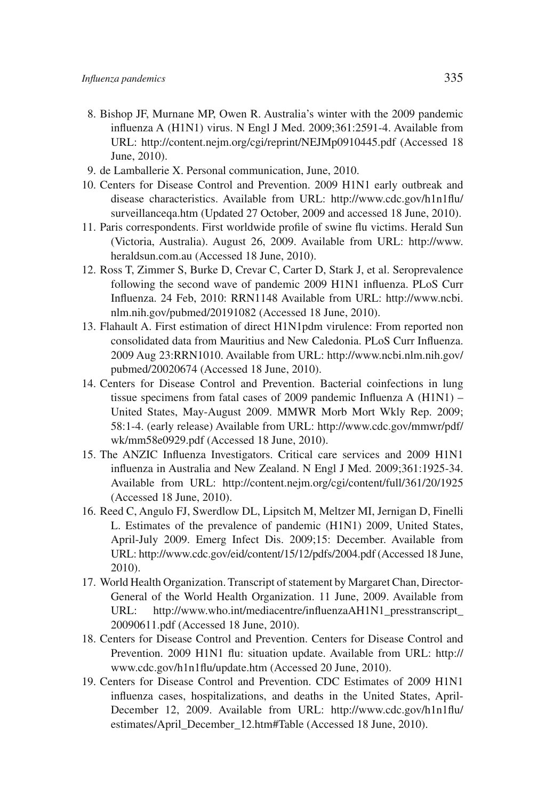- 8. Bishop JF, Murnane MP, Owen R. Australia's winter with the 2009 pandemic influenza A (H1N1) virus. N Engl J Med. 2009;361:2591-4. Available from URL: http://content.nejm.org/cgi/reprint/NEJMp0910445.pdf (Accessed 18 June, 2010).
- 9. de Lamballerie X. Personal communication, June, 2010.
- 10. Centers for Disease Control and Prevention. 2009 H1N1 early outbreak and disease characteristics. Available from URL: http://www.cdc.gov/h1n1flu/ surveillanceqa.htm (Updated 27 October, 2009 and accessed 18 June, 2010).
- 11. Paris correspondents. First worldwide profile of swine flu victims. Herald Sun (Victoria, Australia). August 26, 2009. Available from URL: http://www. heraldsun.com.au (Accessed 18 June, 2010).
- 12. Ross T, Zimmer S, Burke D, Crevar C, Carter D, Stark J, et al. Seroprevalence following the second wave of pandemic 2009 H1N1 influenza. PLoS Curr Influenza. 24 Feb, 2010: RRN1148 Available from URL: http://www.ncbi. nlm.nih.gov/pubmed/20191082 (Accessed 18 June, 2010).
- 13. Flahault A. First estimation of direct H1N1pdm virulence: From reported non consolidated data from Mauritius and New Caledonia. PLoS Curr Influenza. 2009 Aug 23:RRN1010. Available from URL: http://www.ncbi.nlm.nih.gov/ pubmed/20020674 (Accessed 18 June, 2010).
- 14. Centers for Disease Control and Prevention. Bacterial coinfections in lung tissue specimens from fatal cases of 2009 pandemic Influenza A  $(H1N1)$  – United States, May-August 2009. MMWR Morb Mort Wkly Rep. 2009; 58:1-4. (early release) Available from URL: http://www.cdc.gov/mmwr/pdf/ wk/mm58e0929.pdf (Accessed 18 June, 2010).
- 15. The ANZIC Influenza Investigators. Critical care services and 2009 H1N1 influenza in Australia and New Zealand. N Engl J Med. 2009;361:1925-34. Available from URL: http://content.nejm.org/cgi/content/full/361/20/1925 (Accessed 18 June, 2010).
- 16. Reed C, Angulo FJ, Swerdlow DL, Lipsitch M, Meltzer MI, Jernigan D, Finelli L. Estimates of the prevalence of pandemic (H1N1) 2009, United States, April-July 2009. Emerg Infect Dis. 2009;15: December. Available from URL: http://www.cdc.gov/eid/content/15/12/pdfs/2004.pdf (Accessed 18 June, 2010).
- 17. World Health Organization. Transcript of statement by Margaret Chan, Director-General of the World Health Organization. 11 June, 2009. Available from URL: http://www.who.int/mediacentre/influenzaAH1N1 presstranscript 20090611.pdf (Accessed 18 June, 2010).
- 18. Centers for Disease Control and Prevention. Centers for Disease Control and Prevention. 2009 H1N1 flu: situation update. Available from URL: http:// www.cdc.gov/h1n1flu/update.htm (Accessed 20 June, 2010).
- 19. Centers for Disease Control and Prevention. CDC Estimates of 2009 H1N1 influenza cases, hospitalizations, and deaths in the United States, April-December 12, 2009. Available from URL: http://www.cdc.gov/h1n1flu/ estimates/April\_December\_12.htm#Table (Accessed 18 June, 2010).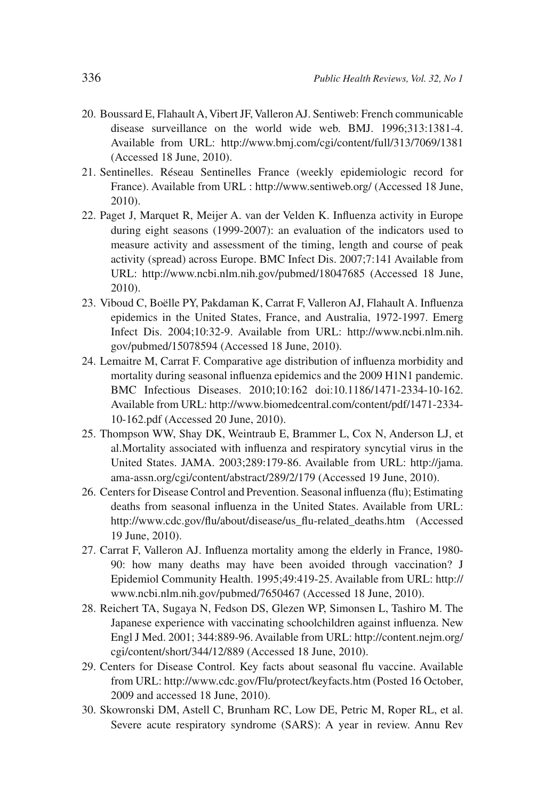- 20. Boussard E, Flahault A, Vibert JF, Valleron AJ. Sentiweb: French communicable disease surveillance on the world wide web. BMJ. 1996;313:1381-4. Available from URL: http://www.bmj.com/cgi/content/full/313/7069/1381 (Accessed 18 June, 2010).
- 21. Sentinelles. Réseau Sentinelles France (weekly epidemiologic record for France). Available from URL : http://www.sentiweb.org/ (Accessed 18 June, 2010).
- 22. Paget J, Marquet R, Meijer A. van der Velden K. Influenza activity in Europe during eight seasons (1999-2007): an evaluation of the indicators used to measure activity and assessment of the timing, length and course of peak activity (spread) across Europe. BMC Infect Dis. 2007;7:141 Available from URL: http://www.ncbi.nlm.nih.gov/pubmed/18047685 (Accessed 18 June, 2010).
- 23. Viboud C, Boëlle PY, Pakdaman K, Carrat F, Valleron AJ, Flahault A. Influenza epidemics in the United States, France, and Australia, 1972-1997. Emerg Infect Dis. 2004;10:32-9. Available from URL: http://www.ncbi.nlm.nih. gov/pubmed/15078594 (Accessed 18 June, 2010).
- 24. Lemaitre M, Carrat F. Comparative age distribution of influenza morbidity and mortality during seasonal influenza epidemics and the 2009 H1N1 pandemic. BMC Infectious Diseases. 2010;10:162 doi:10.1186/1471-2334-10-162. Available from URL: http://www.biomedcentral.com/content/pdf/1471-2334- 10-162.pdf (Accessed 20 June, 2010).
- 25. Thompson WW, Shay DK, Weintraub E, Brammer L, Cox N, Anderson LJ, et al.Mortality associated with influenza and respiratory syncytial virus in the United States. JAMA. 2003;289:179-86. Available from URL: http://jama. ama-assn.org/cgi/content/abstract/289/2/179 (Accessed 19 June, 2010).
- 26. Centers for Disease Control and Prevention. Seasonal influenza (flu); Estimating deaths from seasonal influenza in the United States. Available from URL: http://www.cdc.gov/flu/about/disease/us\_flu-related\_deaths.htm (Accessed 19 June, 2010).
- 27. Carrat F, Valleron AJ. Influenza mortality among the elderly in France, 1980-90: how many deaths may have been avoided through vaccination? J Epidemiol Community Health. 1995;49:419-25. Available from URL: http:// www.ncbi.nlm.nih.gov/pubmed/7650467 (Accessed 18 June, 2010).
- 28. Reichert TA, Sugaya N, Fedson DS, Glezen WP, Simonsen L, Tashiro M. The Japanese experience with vaccinating schoolchildren against influenza. New Engl J Med. 2001; 344:889-96. Available from URL: http://content.nejm.org/ cgi/content/short/344/12/889 (Accessed 18 June, 2010).
- 29. Centers for Disease Control. Key facts about seasonal flu vaccine. Available from URL: http://www.cdc.gov/Flu/protect/keyfacts.htm (Posted 16 October, 2009 and accessed 18 June, 2010).
- 30. Skowronski DM, Astell C, Brunham RC, Low DE, Petric M, Roper RL, et al. Severe acute respiratory syndrome (SARS): A year in review. Annu Rev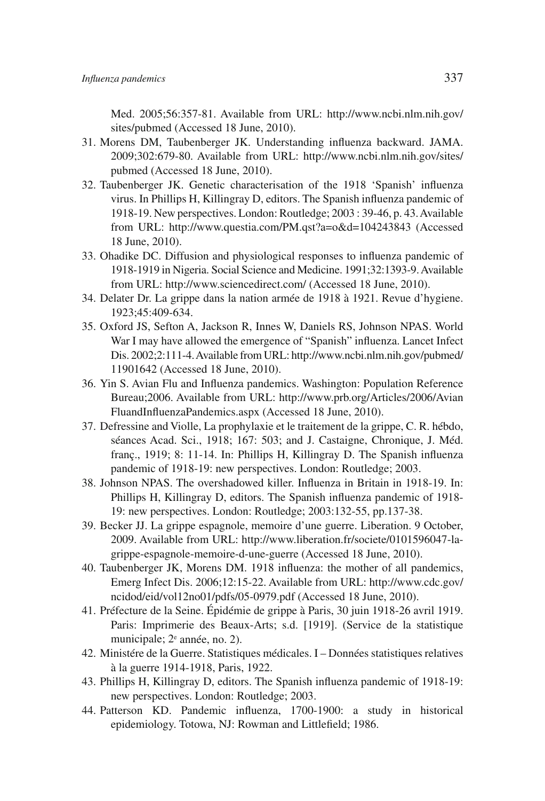Med. 2005;56:357-81. Available from URL: http://www.ncbi.nlm.nih.gov/ sites/pubmed (Accessed 18 June, 2010).

- 31. Morens DM, Taubenberger JK. Understanding influenza backward. JAMA. 2009;302:679-80. Available from URL: http://www.ncbi.nlm.nih.gov/sites/ pubmed (Accessed 18 June, 2010).
- 32. Taubenberger JK. Genetic characterisation of the 1918 'Spanish' influenza virus. In Phillips H, Killingray D, editors. The Spanish influenza pandemic of 1918-19. New perspectives. London: Routledge; 2003 : 39-46, p. 43. Available from URL: http://www.questia.com/PM.qst?a=o&d=104243843 (Accessed 18 June, 2010).
- 33. Ohadike DC. Diffusion and physiological responses to influenza pandemic of 1918-1919 in Nigeria. Social Science and Medicine. 1991;32:1393-9. Available from URL: http://www.sciencedirect.com/ (Accessed 18 June, 2010).
- 34. Delater Dr. La grippe dans la nation armée de 1918 à 1921. Revue d'hygiene. 1923;45:409-634.
- 35. Oxford JS, Sefton A, Jackson R, Innes W, Daniels RS, Johnson NPAS. World War I may have allowed the emergence of "Spanish" influenza. Lancet Infect Dis. 2002;2:111-4. Available from URL: http://www.ncbi.nlm.nih.gov/pubmed/ 11901642 (Accessed 18 June, 2010).
- 36. Yin S. Avian Flu and Influenza pandemics. Washington: Population Reference Bureau;2006. Available from URL: http://www.prb.org/Articles/2006/Avian FluandInfluenzaPandemics.aspx (Accessed 18 June, 2010).
- 37. Defressine and Violle, La prophylaxie et le traitement de la grippe, C. R. hébdo, séances Acad. Sci., 1918; 167: 503; and J. Castaigne, Chronique, J. Méd. franç., 1919; 8: 11-14. In: Phillips H, Killingray D. The Spanish influenza pandemic of 1918-19: new perspectives. London: Routledge; 2003.
- 38. Johnson NPAS. The overshadowed killer. Influenza in Britain in 1918-19. In: Phillips H, Killingray D, editors. The Spanish influenza pandemic of 1918-19: new perspectives. London: Routledge; 2003:132-55, pp.137-38.
- 39. Becker JJ. La grippe espagnole, memoire d'une guerre. Liberation. 9 October, 2009. Available from URL: http://www.liberation.fr/societe/0101596047-lagrippe-espagnole-memoire-d-une-guerre (Accessed 18 June, 2010).
- 40. Taubenberger JK, Morens DM. 1918 influenza: the mother of all pandemics, Emerg Infect Dis. 2006;12:15-22. Available from URL: http://www.cdc.gov/ ncidod/eid/vol12no01/pdfs/05-0979.pdf (Accessed 18 June, 2010).
- 41. Préfecture de la Seine. Épidémie de grippe à Paris, 30 juin 1918-26 avril 1919. Paris: Imprimerie des Beaux-Arts; s.d. [1919]. (Service de la statistique municipale; 2<sup>e</sup> année, no. 2).
- 42. Ministére de la Guerre. Statistiques médicales. I Données statistiques relatives à la guerre 1914-1918, Paris, 1922.
- 43. Phillips H, Killingray D, editors. The Spanish influenza pandemic of 1918-19: new perspectives. London: Routledge; 2003.
- 44. Patterson KD. Pandemic influenza, 1700-1900: a study in historical epidemiology. Totowa, NJ: Rowman and Littlefield; 1986.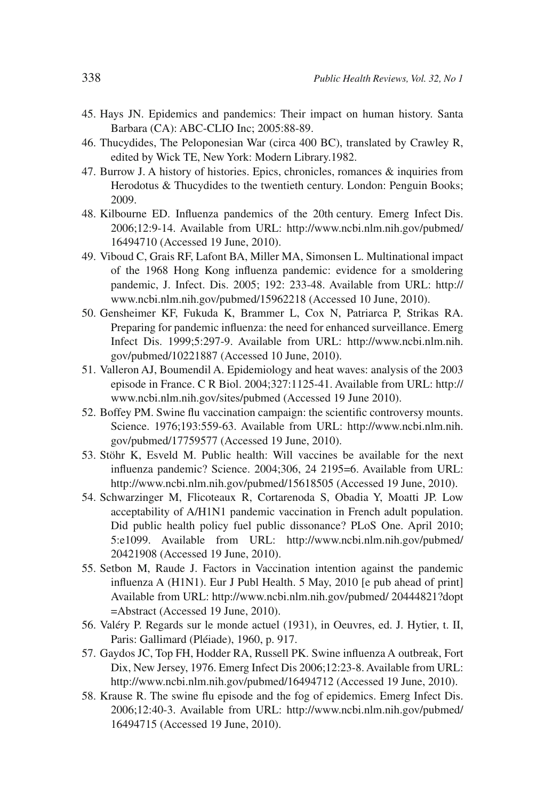- 45. Hays JN. Epidemics and pandemics: Their impact on human history. Santa Barbara (CA): ABC-CLIO Inc; 2005:88-89.
- 46. Thucydides, The Peloponesian War (circa 400 BC), translated by Crawley R, edited by Wick TE, New York: Modern Library.1982.
- 47. Burrow J. A history of histories. Epics, chronicles, romances & inquiries from Herodotus & Thucydides to the twentieth century. London: Penguin Books; 2009.
- 48. Kilbourne ED. Influenza pandemics of the 20th century. Emerg Infect Dis. 2006;12:9-14. Available from URL: http://www.ncbi.nlm.nih.gov/pubmed/ 16494710 (Accessed 19 June, 2010).
- 49. Viboud C, Grais RF, Lafont BA, Miller MA, Simonsen L. Multinational impact of the 1968 Hong Kong influenza pandemic: evidence for a smoldering pandemic, J. Infect. Dis. 2005; 192: 233-48. Available from URL: http:// www.ncbi.nlm.nih.gov/pubmed/15962218 (Accessed 10 June, 2010).
- 50. Gensheimer KF, Fukuda K, Brammer L, Cox N, Patriarca P, Strikas RA. Preparing for pandemic influenza: the need for enhanced surveillance. Emerg Infect Dis. 1999;5:297-9. Available from URL: http://www.ncbi.nlm.nih. gov/pubmed/10221887 (Accessed 10 June, 2010).
- 51. Valleron AJ, Boumendil A. Epidemiology and heat waves: analysis of the 2003 episode in France. C R Biol. 2004;327:1125-41. Available from URL: http:// www.ncbi.nlm.nih.gov/sites/pubmed (Accessed 19 June 2010).
- 52. Boffey PM. Swine flu vaccination campaign: the scientific controversy mounts. Science. 1976;193:559-63. Available from URL: http://www.ncbi.nlm.nih. gov/pubmed/17759577 (Accessed 19 June, 2010).
- 53. Stöhr K, Esveld M. Public health: Will vaccines be available for the next influenza pandemic? Science. 2004;306, 24 2195=6. Available from URL: http://www.ncbi.nlm.nih.gov/pubmed/15618505 (Accessed 19 June, 2010).
- 54. Schwarzinger M, Flicoteaux R, Cortarenoda S, Obadia Y, Moatti JP. Low acceptability of A/H1N1 pandemic vaccination in French adult population. Did public health policy fuel public dissonance? PLoS One. April 2010; 5:e1099. Available from URL: http://www.ncbi.nlm.nih.gov/pubmed/ 20421908 (Accessed 19 June, 2010).
- 55. Setbon M, Raude J. Factors in Vaccination intention against the pandemic influenza A ( $H1N1$ ). Eur J Publ Health. 5 May, 2010 [e pub ahead of print] Available from URL: http://www.ncbi.nlm.nih.gov/pubmed/ 20444821?dopt =Abstract (Accessed 19 June, 2010).
- 56. Valéry P. Regards sur le monde actuel (1931), in Oeuvres, ed. J. Hytier, t. II, Paris: Gallimard (Pléiade), 1960, p. 917.
- 57. Gaydos JC, Top FH, Hodder RA, Russell PK. Swine influenza A outbreak, Fort Dix, New Jersey, 1976. Emerg Infect Dis 2006;12:23-8. Available from URL: http://www.ncbi.nlm.nih.gov/pubmed/16494712 (Accessed 19 June, 2010).
- 58. Krause R. The swine flu episode and the fog of epidemics. Emerg Infect Dis. 2006;12:40-3. Available from URL: http://www.ncbi.nlm.nih.gov/pubmed/ 16494715 (Accessed 19 June, 2010).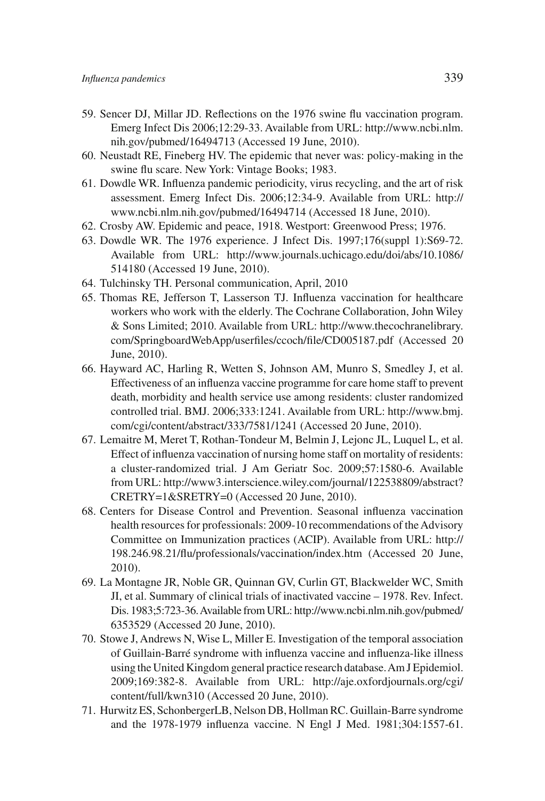- 59. Sencer DJ, Millar JD. Reflections on the 1976 swine flu vaccination program. Emerg Infect Dis 2006;12:29-33. Available from URL: http://www.ncbi.nlm. nih.gov/pubmed/16494713 (Accessed 19 June, 2010).
- 60. Neustadt RE, Fineberg HV. The epidemic that never was: policy-making in the swine flu scare. New York: Vintage Books; 1983.
- 61. Dowdle WR. Influenza pandemic periodicity, virus recycling, and the art of risk assessment. Emerg Infect Dis. 2006;12:34-9. Available from URL: http:// www.ncbi.nlm.nih.gov/pubmed/16494714 (Accessed 18 June, 2010).
- 62. Crosby AW. Epidemic and peace, 1918. Westport: Greenwood Press; 1976.
- 63. Dowdle WR. The 1976 experience. J Infect Dis. 1997;176(suppl 1):S69-72. Available from URL: http://www.journals.uchicago.edu/doi/abs/10.1086/ 514180 (Accessed 19 June, 2010).
- 64. Tulchinsky TH. Personal communication, April, 2010
- 65. Thomas RE, Jefferson T, Lasserson TJ. Influenza vaccination for healthcare workers who work with the elderly. The Cochrane Collaboration, John Wiley & Sons Limited; 2010. Available from URL: http://www.thecochranelibrary. com/SpringboardWebApp/userfiles/ccoch/file/CD005187.pdf (Accessed 20 June, 2010).
- 66. Hayward AC, Harling R, Wetten S, Johnson AM, Munro S, Smedley J, et al. Effectiveness of an influenza vaccine programme for care home staff to prevent death, morbidity and health service use among residents: cluster randomized controlled trial. BMJ. 2006;333:1241. Available from URL: http://www.bmj. com/cgi/content/abstract/333/7581/1241 (Accessed 20 June, 2010).
- 67. Lemaitre M, Meret T, Rothan-Tondeur M, Belmin J, Lejonc JL, Luquel L, et al. Effect of influenza vaccination of nursing home staff on mortality of residents: a cluster-randomized trial. J Am Geriatr Soc. 2009;57:1580-6. Available from URL: http://www3.interscience.wiley.com/journal/122538809/abstract? CRETRY=1&SRETRY=0 (Accessed 20 June, 2010).
- 68. Centers for Disease Control and Prevention. Seasonal influenza vaccination health resources for professionals: 2009-10 recommendations of the Advisory Committee on Immunization practices (ACIP). Available from URL: http:// 198.246.98.21/flu/professionals/vaccination/index.htm (Accessed 20 June, 2010).
- 69. La Montagne JR, Noble GR, Quinnan GV, Curlin GT, Blackwelder WC, Smith JI, et al. Summary of clinical trials of inactivated vaccine – 1978. Rev. Infect. Dis. 1983;5:723-36. Available from URL: http://www.ncbi.nlm.nih.gov/pubmed/ 6353529 (Accessed 20 June, 2010).
- 70. Stowe J, Andrews N, Wise L, Miller E. Investigation of the temporal association of Guillain-Barré syndrome with influenza vaccine and influenza-like illness using the United Kingdom general practice research database. Am J Epidemiol. 2009;169:382-8. Available from URL: http://aje.oxfordjournals.org/cgi/ content/full/kwn310 (Accessed 20 June, 2010).
- 71. Hurwitz ES, SchonbergerLB, Nelson DB, Hollman RC. Guillain-Barre syndrome and the 1978-1979 influenza vaccine. N Engl J Med. 1981;304:1557-61.